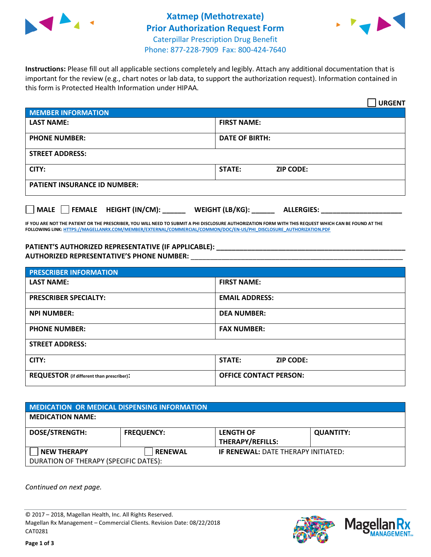



**Instructions:** Please fill out all applicable sections completely and legibly. Attach any additional documentation that is important for the review (e.g., chart notes or lab data, to support the authorization request). Information contained in this form is Protected Health Information under HIPAA.

|                                       | <b>URGENT</b>                        |  |
|---------------------------------------|--------------------------------------|--|
| <b>MEMBER INFORMATION</b>             |                                      |  |
| <b>LAST NAME:</b>                     | <b>FIRST NAME:</b>                   |  |
| <b>PHONE NUMBER:</b>                  | <b>DATE OF BIRTH:</b>                |  |
| <b>STREET ADDRESS:</b>                |                                      |  |
| CITY:                                 | <b>STATE:</b><br><b>ZIP CODE:</b>    |  |
| <b>PATIENT INSURANCE ID NUMBER:</b>   |                                      |  |
| FEMALE HEIGHT (IN/CM):<br><b>MALE</b> | WEIGHT (LB/KG):<br><b>ALLERGIES:</b> |  |

**IF YOU ARE NOT THE PATIENT OR THE PRESCRIBER, YOU WILL NEED TO SUBMIT A PHI DISCLOSURE AUTHORIZATION FORM WITH THIS REQUEST WHICH CAN BE FOUND AT THE FOLLOWING LINK[: HTTPS://MAGELLANRX.COM/MEMBER/EXTERNAL/COMMERCIAL/COMMON/DOC/EN-US/PHI\\_DISCLOSURE\\_AUTHORIZATION.PDF](https://magellanrx.com/member/external/commercial/common/doc/en-us/PHI_Disclosure_Authorization.pdf)**

**PATIENT'S AUTHORIZED REPRESENTATIVE (IF APPLICABLE): \_\_\_\_\_\_\_\_\_\_\_\_\_\_\_\_\_\_\_\_\_\_\_\_\_\_\_\_\_\_\_\_\_\_\_\_\_\_\_\_\_\_\_\_\_\_\_\_\_ AUTHORIZED REPRESENTATIVE'S PHONE NUMBER:** \_\_\_\_\_\_\_\_\_\_\_\_\_\_\_\_\_\_\_\_\_\_\_\_\_\_\_\_\_\_\_\_\_\_\_\_\_\_\_\_\_\_\_\_\_\_\_\_\_\_\_\_\_\_\_

| <b>PRESCRIBER INFORMATION</b>             |                               |  |  |  |
|-------------------------------------------|-------------------------------|--|--|--|
| <b>LAST NAME:</b>                         | <b>FIRST NAME:</b>            |  |  |  |
| <b>PRESCRIBER SPECIALTY:</b>              | <b>EMAIL ADDRESS:</b>         |  |  |  |
| <b>NPI NUMBER:</b>                        | <b>DEA NUMBER:</b>            |  |  |  |
| <b>PHONE NUMBER:</b>                      | <b>FAX NUMBER:</b>            |  |  |  |
| <b>STREET ADDRESS:</b>                    |                               |  |  |  |
| CITY:                                     | STATE:<br><b>ZIP CODE:</b>    |  |  |  |
| REQUESTOR (if different than prescriber): | <b>OFFICE CONTACT PERSON:</b> |  |  |  |

| <b>MEDICATION OR MEDICAL DISPENSING INFORMATION</b> |                   |                                            |                  |  |  |
|-----------------------------------------------------|-------------------|--------------------------------------------|------------------|--|--|
| <b>MEDICATION NAME:</b>                             |                   |                                            |                  |  |  |
| <b>DOSE/STRENGTH:</b>                               | <b>FREQUENCY:</b> | <b>LENGTH OF</b>                           | <b>QUANTITY:</b> |  |  |
|                                                     |                   | <b>THERAPY/REFILLS:</b>                    |                  |  |  |
| <b>NEW THERAPY</b>                                  | <b>RENEWAL</b>    | <b>IF RENEWAL: DATE THERAPY INITIATED:</b> |                  |  |  |
| DURATION OF THERAPY (SPECIFIC DATES):               |                   |                                            |                  |  |  |

*Continued on next page.*

© 2017 – 2018, Magellan Health, Inc. All Rights Reserved. Magellan Rx Management – Commercial Clients. Revision Date: 08/22/2018 CAT0281



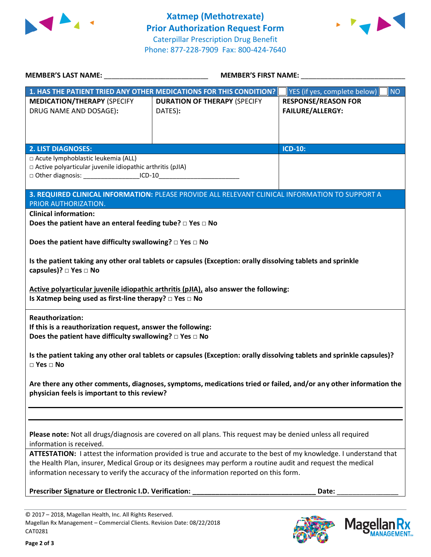



| <b>MEMBER'S LAST NAME:</b> NAME                                                                                                                                   | MEMBER'S FIRST NAME:                                                                                                                                                                                                                                                                                                         |                                                       |  |  |  |
|-------------------------------------------------------------------------------------------------------------------------------------------------------------------|------------------------------------------------------------------------------------------------------------------------------------------------------------------------------------------------------------------------------------------------------------------------------------------------------------------------------|-------------------------------------------------------|--|--|--|
|                                                                                                                                                                   | 1. HAS THE PATIENT TRIED ANY OTHER MEDICATIONS FOR THIS CONDITION?                                                                                                                                                                                                                                                           | YES (if yes, complete below)<br><b>NO</b>             |  |  |  |
| <b>MEDICATION/THERAPY (SPECIFY</b><br>DRUG NAME AND DOSAGE):                                                                                                      | <b>DURATION OF THERAPY (SPECIFY</b><br>DATES):                                                                                                                                                                                                                                                                               | <b>RESPONSE/REASON FOR</b><br><b>FAILURE/ALLERGY:</b> |  |  |  |
|                                                                                                                                                                   |                                                                                                                                                                                                                                                                                                                              |                                                       |  |  |  |
| <b>2. LIST DIAGNOSES:</b>                                                                                                                                         |                                                                                                                                                                                                                                                                                                                              | <b>ICD-10:</b>                                        |  |  |  |
| □ Acute lymphoblastic leukemia (ALL)<br>□ Active polyarticular juvenile idiopathic arthritis (pJIA)                                                               |                                                                                                                                                                                                                                                                                                                              |                                                       |  |  |  |
| PRIOR AUTHORIZATION.                                                                                                                                              | 3. REQUIRED CLINICAL INFORMATION: PLEASE PROVIDE ALL RELEVANT CLINICAL INFORMATION TO SUPPORT A                                                                                                                                                                                                                              |                                                       |  |  |  |
| <b>Clinical information:</b>                                                                                                                                      |                                                                                                                                                                                                                                                                                                                              |                                                       |  |  |  |
| Does the patient have an enteral feeding tube? $\square$ Yes $\square$ No                                                                                         |                                                                                                                                                                                                                                                                                                                              |                                                       |  |  |  |
|                                                                                                                                                                   | Does the patient have difficulty swallowing? $\square$ Yes $\square$ No                                                                                                                                                                                                                                                      |                                                       |  |  |  |
| Is the patient taking any other oral tablets or capsules (Exception: orally dissolving tablets and sprinkle<br>capsules)? $\Box$ Yes $\Box$ No                    |                                                                                                                                                                                                                                                                                                                              |                                                       |  |  |  |
| Active polyarticular juvenile idiopathic arthritis (pJIA), also answer the following:<br>Is Xatmep being used as first-line therapy? $\Box$ Yes $\Box$ No         |                                                                                                                                                                                                                                                                                                                              |                                                       |  |  |  |
| <b>Reauthorization:</b><br>If this is a reauthorization request, answer the following:<br>Does the patient have difficulty swallowing? $\square$ Yes $\square$ No |                                                                                                                                                                                                                                                                                                                              |                                                       |  |  |  |
| Is the patient taking any other oral tablets or capsules (Exception: orally dissolving tablets and sprinkle capsules)?<br>$\square$ Yes $\square$ No              |                                                                                                                                                                                                                                                                                                                              |                                                       |  |  |  |
| Are there any other comments, diagnoses, symptoms, medications tried or failed, and/or any other information the<br>physician feels is important to this review?  |                                                                                                                                                                                                                                                                                                                              |                                                       |  |  |  |
|                                                                                                                                                                   |                                                                                                                                                                                                                                                                                                                              |                                                       |  |  |  |
| information is received.                                                                                                                                          | Please note: Not all drugs/diagnosis are covered on all plans. This request may be denied unless all required                                                                                                                                                                                                                |                                                       |  |  |  |
|                                                                                                                                                                   | ATTESTATION: I attest the information provided is true and accurate to the best of my knowledge. I understand that<br>the Health Plan, insurer, Medical Group or its designees may perform a routine audit and request the medical<br>information necessary to verify the accuracy of the information reported on this form. |                                                       |  |  |  |
| Prescriber Signature or Electronic I.D. Verification:<br>Date:                                                                                                    |                                                                                                                                                                                                                                                                                                                              |                                                       |  |  |  |
|                                                                                                                                                                   |                                                                                                                                                                                                                                                                                                                              |                                                       |  |  |  |

© 2017 – 2018, Magellan Health, Inc. All Rights Reserved. Magellan Rx Management – Commercial Clients. Revision Date: 08/22/2018 CAT0281



Mage

**Ilan Rx<br>ANAGEMENT**